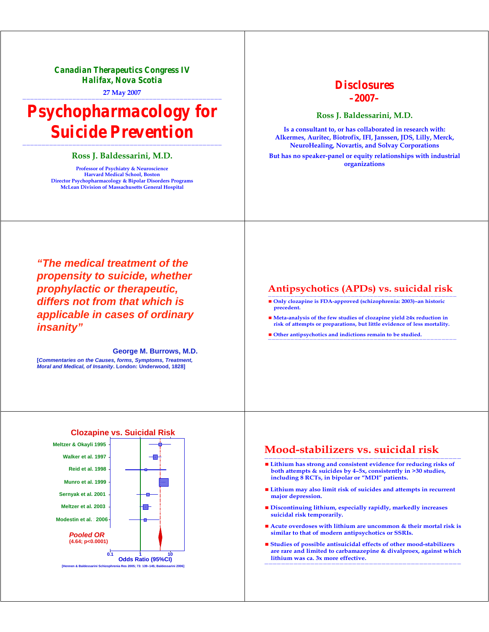*Canadian Therapeutics Congress IV Halifax, Nova Scotia*

**27 May 2007** ————————————————————————————————————————————————————

# *Psychopharmacology for Suicide Prevention*

#### ———————————————————————————————————————————————————— **Ross J. Baldessarini, M.D.**

**Professor of Psychiatry & Neuroscience Harvard Medical School, Boston Director Psychopharmacology & Bipolar Disorders Programs McLean Division of Massachusetts General Hospital** 

## *Disclosures –2007–*

**Ross J. Baldessarini, M.D.**

**Is a consultant to, or has collaborated in research with: Alkermes, Auritec, Biotrofix, IFI, Janssen, JDS, Lilly, Merck, NeuroHealing, Novartis, and Solvay Corporations** 

**But has no speaker-panel or equity relationships with industrial organizations** 

*"The medical treatment of the propensity to suicide, whether prophylactic or therapeutic, differs not from that which is applicable in cases of ordinary insanity"*

**George M. Burrows, M.D. [***Commentaries on the Causes, forms, Symptoms, Treatment, Moral and Medical, of Insanity***. London: Underwood, 1828]**

### **Antipsychotics (APDs) vs. suicidal risk**

- Only clozapine is FDA-approved (schizophrenia: 2003)-an historic **precedent.**
- Meta-analysis of the few studies of clozapine yield ≥4x reduction in **risk of attempts or preparations, but little evidence of less mortality.**
- **Other antipsychotics and indictions remain to be studied.** ——————————————————————————————————————————————————

#### **Mood-stabilizers vs. suicidal risk**

- Lithium has strong and consistent evidence for reducing risks of **both attempts & suicides by 4–5x, consistently in >30 studies, including 8 RCTs, in bipolar or "MDI" patients.**
- **Lithium may also limit risk of suicides and attempts in recurrent major depression.**
- **Discontinuing lithium, especially rapidly, markedly increases suicidal risk temporarily.**
- Acute overdoses with lithium are uncommon & their mortal risk is **similar to that of modern antipsychotics or SSRIs.**
- **Studies of possible antisuicidal effects of other mood-stabilizers are rare and limited to carbamazepine & divalproex, against which lithium was ca. 3x more effective.** ———————————————————————————————————————————————

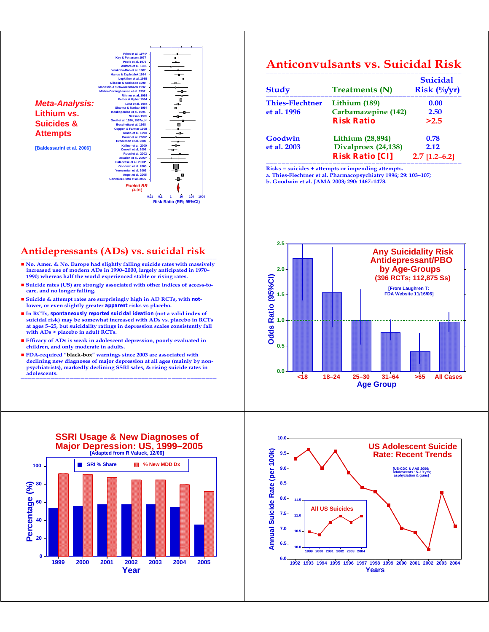

**[Baldessarini et al. 2006]**



## **Anticonvulsants vs. Suicidal Risk**

| <b>Study</b>                          | <b>Treatments (N)</b>   | <b>Suicidal</b><br>$Risk$ (%/yr) |
|---------------------------------------|-------------------------|----------------------------------|
| <b>Thies-Flechtner</b><br>et al. 1996 | Lithium (189)           | 0.00                             |
|                                       | Carbamazepine (142)     | 2.50                             |
|                                       | <b>Risk Ratio</b>       | >2.5                             |
| Goodwin                               | <b>Lithium (28,894)</b> | 0.78                             |
| et al. 2003                           | Divalproex (24,138)     | 2.12                             |
|                                       | <b>Risk Ratio [CI]</b>  | $2.7$ [1.2–6.2]                  |

**Risks = suicides + attempts or impending attempts.** 

**a. Thies-Flechtner et al. Pharmacopsychiatry 1996; 29: 103–107; b. Goodwin et al. JAMA 2003; 290: 1467–1473.** 

#### **Antidepressants (ADs) vs. suicidal risk**

- No. Amer. & No. Europe had slightly falling suicide rates with massively **increased use of modern ADs in 1990–2000, largely anticipated in 1970– 1990; whereas half the world experienced stable or rising rates.**
- **Suicide rates (US) are strongly associated with other indices of access-tocare, and no longer falling.**
- Suicide & attempt rates are surprisingly high in AD RCTs, with *not***lower, or even slightly greater** *apparent* **risks vs placebo.**
- **In RCTs,** *spontaneously reported suicidal ideation* **(not a valid index of suicidal risk) may be somewhat increased with ADs vs. placebo in RCTs at ages 5–25, but suicidality ratings in depression scales consistently fall with ADs > placebo in adult RCTs.**
- Efficacy of ADs is weak in adolescent depression, poorly evaluated in **children, and only moderate in adults.**
- **FDA-required "black-box" warnings since 2003 are associated with declining new diagnoses of major depression at all ages (mainly by nonpsychiatrists), markedly declining SSRI sales, & rising suicide rates in adolescents.** ————————————————————————————————————————————————————







**1999 2000 2001 2002 2003 2004 2005 Year**

**0**

**20**